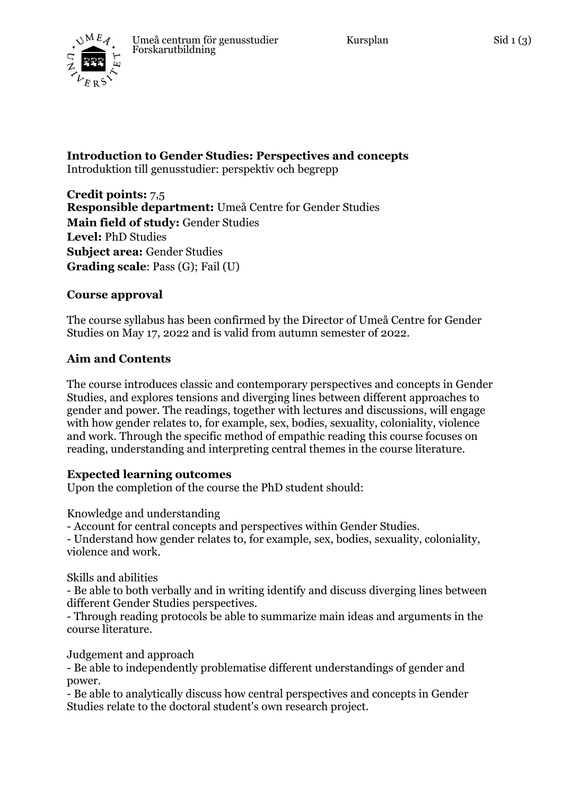

**Introduction to Gender Studies: Perspectives and concepts** Introduktion till genusstudier: perspektiv och begrepp

**Credit points:** 7,5 **Responsible department:** Umeå Centre for Gender Studies **Main field of study:** Gender Studies **Level:** PhD Studies **Subject area:** Gender Studies **Grading scale**: Pass (G); Fail (U)

## **Course approval**

The course syllabus has been confirmed by the Director of Umeå Centre for Gender Studies on May 17, 2022 and is valid from autumn semester of 2022.

## **Aim and Contents**

The course introduces classic and contemporary perspectives and concepts in Gender Studies, and explores tensions and diverging lines between different approaches to gender and power. The readings, together with lectures and discussions, will engage with how gender relates to, for example, sex, bodies, sexuality, coloniality, violence and work. Through the specific method of empathic reading this course focuses on reading, understanding and interpreting central themes in the course literature.

### **Expected learning outcomes**

Upon the completion of the course the PhD student should:

Knowledge and understanding

- Account for central concepts and perspectives within Gender Studies.

- Understand how gender relates to, for example, sex, bodies, sexuality, coloniality, violence and work.

Skills and abilities

- Be able to both verbally and in writing identify and discuss diverging lines between different Gender Studies perspectives.

- Through reading protocols be able to summarize main ideas and arguments in the course literature.

Judgement and approach

- Be able to independently problematise different understandings of gender and power.

- Be able to analytically discuss how central perspectives and concepts in Gender Studies relate to the doctoral student's own research project.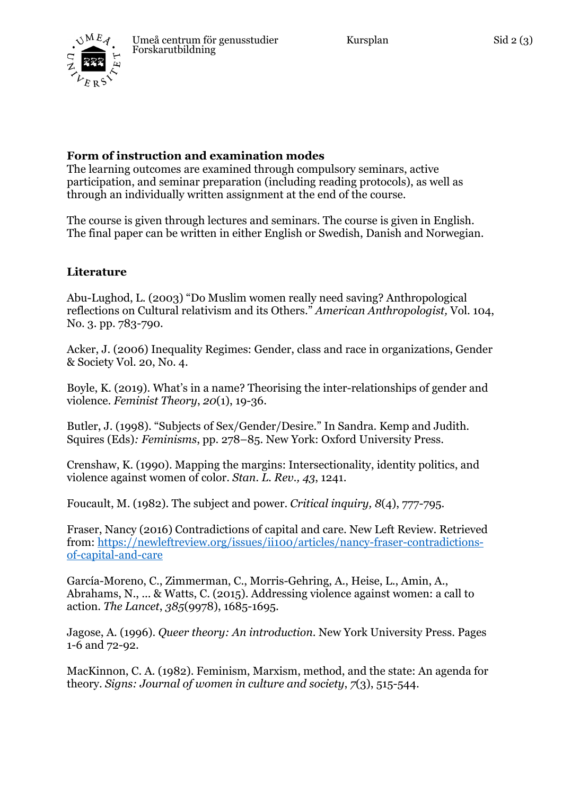# **Form of instruction and examination modes**

The learning outcomes are examined through compulsory seminars, active participation, and seminar preparation (including reading protocols), as well as through an individually written assignment at the end of the course.

The course is given through lectures and seminars. The course is given in English. The final paper can be written in either English or Swedish, Danish and Norwegian.

## **Literature**

Abu-Lughod, L. (2003) "Do Muslim women really need saving? Anthropological reflections on Cultural relativism and its Others." *American Anthropologist,* Vol. 104, No. 3. pp. 783-790.

Acker, J. (2006) Inequality Regimes: Gender, class and race in organizations, Gender & Society Vol. 20, No. 4.

Boyle, K. (2019). What's in a name? Theorising the inter-relationships of gender and violence. *Feminist Theory*, *20*(1), 19-36.

Butler, J. (1998). "Subjects of Sex/Gender/Desire." In Sandra. Kemp and Judith. Squires (Eds)*: Feminisms*, pp. 278–85. New York: Oxford University Press.

Crenshaw, K. (1990). Mapping the margins: Intersectionality, identity politics, and violence against women of color. *Stan. L. Rev., 43*, 1241.

Foucault, M. (1982). The subject and power. *Critical inquiry, 8*(4), 777-795.

Fraser, Nancy (2016) Contradictions of capital and care. New Left Review. Retrieved from: https://newleftreview.org/issues/ii100/articles/nancy-fraser-contradictionsof-capital-and-care

García-Moreno, C., Zimmerman, C., Morris-Gehring, A., Heise, L., Amin, A., Abrahams, N., ... & Watts, C. (2015). Addressing violence against women: a call to action. *The Lancet*, *385*(9978), 1685-1695.

Jagose, A. (1996). *Queer theory: An introduction*. New York University Press. Pages 1-6 and 72-92.

MacKinnon, C. A. (1982). Feminism, Marxism, method, and the state: An agenda for theory. *Signs: Journal of women in culture and society*, *7*(3), 515-544.